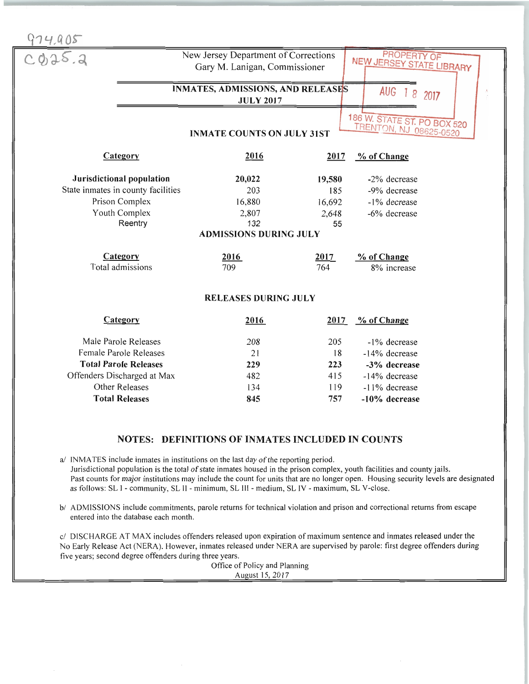

## NOTES: DEFINITIONS OF INMATES INCLUDED IN COUNTS

a/ INMATES include inmates in institutions on the last day of the reporting period. Jurisdictional population is the total of state inmates housed in the prison complex, youth facilities and county jails. Past counts for major institutions may include the count for units that are no longer open. Housing security levels are designated as follows: SL I - community, SL II - minimum, SL III - medium, SL IV - maximum, SL V-close.

b/ ADMISSIONS include commitments, parole returns for technical violation and prison and correctional returns from escape entered into the database each month.

c/ DISCHARGE AT MAX includes offenders released upon expiration of maximum sentence and inmates released under the No Early Release Act (NERA). However, inmates released under NERA are supervised by parole: first degree offenders during five years; second degree offenders during three years.

Office of Policy and Planning August 15, 2017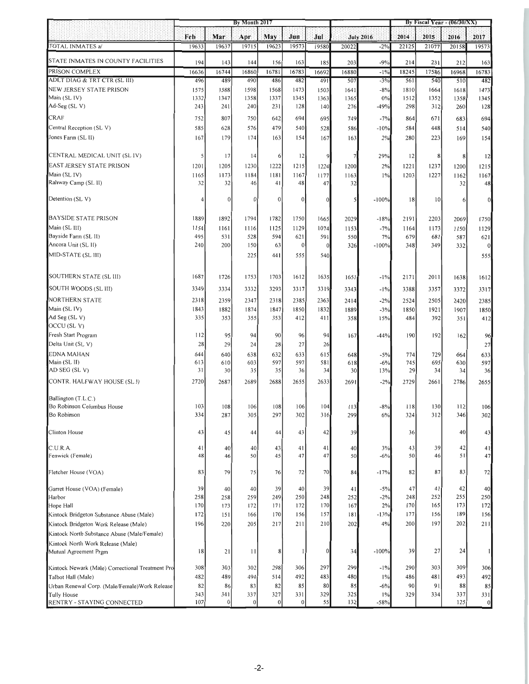|                                                  | By Month 2017 |                  |               | By Fiscal Year - $(06/30/XX)$ |                |              |               |                           |             |                 |             |                  |
|--------------------------------------------------|---------------|------------------|---------------|-------------------------------|----------------|--------------|---------------|---------------------------|-------------|-----------------|-------------|------------------|
|                                                  | Feb           | Mar              | Apr           | May                           | Jun            | Jul          |               |                           | 2014        | 2015            | 2016        | 2017             |
| TOTAL INMATES a/                                 | 19633         | 19637            | 19715         | 19623                         | 19573          | 19580        | 20022         | <b>July 2016</b><br>$-2%$ | 22125       | 21077           | 20158       | 19573            |
|                                                  |               |                  |               |                               |                |              |               |                           |             |                 |             |                  |
| STATE INMATES IN COUNTY FACILITIES               | 194           | 143              | 144           | 156                           | 163            | 185          | 203           | $-9%$                     | 214         | 231             | 212         | 163              |
| PRISON COMPLEX                                   | 16636         | 16744            | 16860         | 16781                         | 16783          | 16692        | 16880         | $-1\%$                    | 18245       | 17586           | 16968       | 16783            |
| ADLT DIAG & TRT CTR (SL III)                     | 496           | 489              | 490           | 486                           | 482            | 491          | 507           | $-3%$                     | 561         | 540             | 510         | 482              |
| NEW JERSEY STATE PRISON                          | 1575          | 1588             | 1598          | 1568                          | 1473           | 1503         | 1641          | $-8%$                     | 1810        | 1664            | 1618        | 1473             |
| Main (SL IV)<br>Ad-Seg (SL V)                    | 1332<br>243   | 1347<br>241      | 1358<br>240   | 1337<br>231                   | 1345<br>128    | 1363<br>140  | 1365<br>276   | 0%<br>$-49%$              | 1512<br>298 | 1352<br>312     | 1358<br>260 | 1345<br>128      |
|                                                  |               |                  |               |                               |                |              |               |                           |             |                 |             |                  |
| <b>CRAF</b>                                      | 752           | 807              | 750           | 642                           | 694            | 695          | 749           | $-7%$                     | 864         | 671             | 683         | 694              |
| Central Reception (SL V)                         | 585           | 628              | 576           | 479                           | 540            | 528          | 586           | $-10%$                    | 584         | 448             | 514         | 540              |
| Jones Farm (SL II)                               | 167           | 179              | 174           | 163                           | 154            | 167          | 163           | 2%                        | 280         | 223             | 169         | 154              |
| CENTRAL MEDICAL UNIT (SL IV)                     | S             | 17               | 14            | 6                             | 12             | 9            |               | 29%                       | 12          | 8               | 8           | 12               |
| EAST JERSEY STATE PRISON                         | 1201          | 1205             | 1230          | 1222                          | 1215           | 1224         | 1200          | 2%                        | 1221        | 1237            | 1200        | 1215             |
| Main (SL IV)                                     | 1165          | 1173             | 1184          | 1181                          | 1167           | 1177         | 1163          | $1\%$                     | 1203        | 1227            | 1162        | 1167             |
| Rahway Camp (SL II)                              | 32            | 32               | 46            | 41                            | 48             | 47           | 32            |                           |             |                 | 32          | 48               |
| Detention (SL V)                                 | 4             | $\boldsymbol{0}$ | $\mathbf{0}$  | $\mathbf{0}$                  | $\overline{0}$ | $\mathbf{0}$ | 5             | $-100%$                   | 18          | 10 <sup>1</sup> |             | $\overline{0}$   |
| <b>BAYSIDE STATE PRISON</b>                      | 1889          | 1892             | 1794          | 1782                          | 1750           | 1665         | 2029          | $-18%$                    | 2191        | 2203            | 2069        | 1750             |
| Main (SL III)                                    | 1154          | 1161             | 1116          | 1125                          | 1129           | 1074         | 1153          | $-7%$                     | 1164        | 1173            | 1150        | 1129             |
| Bayside Farm (SL II)                             | 495           | 531              | 528           | 594                           | 621            | 591          | 550           | 7%                        | 679         | 681             | 587         | 621              |
| Ancora Unit (SL II)                              | 240           | 200              | 150           | 63                            | $\theta$       | $\theta$     | 326           | $-100%$                   | 348         | 349             | 332         | $\boldsymbol{0}$ |
| MID-STATE (SL III)                               |               |                  | 225           | 441                           | 555            | 540          |               |                           |             |                 |             | 555              |
|                                                  |               |                  |               |                               |                |              |               |                           |             |                 |             |                  |
| SOUTHERN STATE (SL III)                          | 1687          | 1726             | 1753          | 1703                          | 1612           | 1635         | 1651          | $-1\%$                    | 2171        | 2011            | 1638        | 1612             |
| SOUTH WOODS (SL III)                             | 3349          | 3334             | 3332          | 3293                          | 3317           | 3319         | 3343          | $-1\%$                    | 3388        | 3357            | 3372        | 3317             |
| <b>NORTHERN STATE</b>                            | 2318          | 2359             | 2347          | 2318                          | 2385           | 2363         | 2414          | $-2%$                     | 2524        | 2505            | 2420        | 2385             |
| Main (SL IV)                                     | 1843          | 1882             | 1874          | 1847                          | 1850           | 1832         | 1889          | $-3%$                     | 1850        | 1921            | 1907        | 1850             |
| Ad Seg (SL V)                                    | 335           | 353              | 355           | 353                           | 412            | 411          | 358           | 15%                       | 484         | 392             | 351         | 412              |
| OCCU (SLV)                                       |               |                  |               |                               |                |              |               |                           |             |                 |             |                  |
| Fresh Start Program                              | 112           | 95               | 94            | 90                            | 96             | 94           | 167           | $-44%$                    | 190         | 192             | 162         | 96               |
| Delta Unit (SL V)                                | 28            | 29               | 24            | 28                            | 27             | 26           |               |                           |             |                 |             | 27               |
| EDNA MAHAN                                       | 644           | 640              | 638           | 632                           | 633            | 615          | 648           | $-5%$                     | 774         | 729             | 664         | 633              |
| Main (SL II)<br>AD SEG (SL V)                    | 613<br>31     | 610<br>30        | 603<br>35     | 597<br>35                     | 597<br>36      | 581<br>34    | 618<br>30     | $-6%$<br>13%              | 745<br>29   | 695<br>34       | 630<br>34   | 597<br>36        |
| CONTR. HALFWAY HOUSE (SL I)                      | 2720          | 2687             | 2689          | 2688                          | 2655           | 2633         | 2691          | $-2%$                     | 2729        | 2661            | 2786        | 2655             |
|                                                  |               |                  |               |                               |                |              |               |                           |             |                 |             |                  |
| Ballington (T.L.C.)                              |               |                  |               |                               |                |              |               |                           |             |                 |             |                  |
| Bo Robinson Columbus House                       | 103           | 108              | 106           | 108                           | 106            | 104          | $\frac{1}{3}$ | $-8%$                     | 118         | 130             | 112         | 106              |
| Bo Robinson                                      | 334           | 287              | 305           | 297                           | 302            | 316          | 299           | 6%                        | 324         | 312             | 346         | 302              |
| Clinton House                                    | 43            | 45               | 44            | 44                            | 43             | 42           | 39            |                           | 36          |                 | 40          | 43               |
| C.U.R.A.                                         | 41            | 40               | 40            | 43                            | 41             | 41           | 40            | 3%                        | 43          | 39              | 42          | 41               |
| Fenwick (Female)                                 | 48            | 46               | 50            | 45                            | 47             | 47           | 50            | $-6%$                     | 50          | 46              | 51          | 47               |
| Fletcher House (VOA)                             | 83            | 79               | 75            | 76                            | 72             | 70           | 84            | $-17%$                    | 82          | 87              | 83          | 72               |
| Garret House (VOA) (Female)                      | 39            | 40               | 40            | 39                            | 40             | 39           | 41            | $-5%$                     | 47          | 41              | 42          | 40               |
| Harbor                                           | 258           | 258              | 259           | 249                           | 250            | 248          | 252           | $-2%$                     | 248         | 252             | 255         | 250              |
| Hope Hall                                        | 170           | 173              | 172           | 171                           | 172            | 170          | 167           | 2%                        | 170         | 165             | 173         | 172              |
| Kintock Bridgeton Substance Abuse (Male)         | 172           | 151              | 166           | 170                           | 156            | 157          | 181           | $-13%$                    | 177         | 156             | 189         | 156              |
| Kintock Bridgeton Work Release (Male)            | 196           | 220              | 205           | 217                           | 211            | 210          | 202           | 4%                        | 200         | 197             | 202         | 211              |
| Kintock North Substance Abuse (Male/Female)      |               |                  |               |                               |                |              |               |                           |             |                 |             |                  |
| Kintock North Work Release (Male)                |               |                  |               |                               |                |              |               |                           |             |                 |             |                  |
| Mutual Agreement Prgm                            | 18            | 21               | $\frac{1}{2}$ | 8                             | 1              | $\theta$     | 34            | $-100%$                   | 39          | 27              | 24          |                  |
| Kintock Newark (Male) Correctional Treatment Pro | 308           | 303              | 302           | 298                           | 306            | 297          | 299           | $-1\%$                    | 290         | 303             | 309         | 306              |
| Talbot Hall (Male)                               | 482           | 489              | 494           | 514                           | 492            | 483          | 480           | $1\%$                     | 486         | 481             | 493         | 492              |
| Urban Renewal Corp. (Male/Female) Work Release   | 82            | 86               | 83            | 82                            | 85             | 80           | 85            | $-6%$                     | 90          | 91              | 88          | 85               |
| Tully House                                      | 343           | 341              | 337           | 327                           | 331            | 329          | 325           | $1\%$                     | 329         | 334             | 337         | 331              |
| RENTRY - STAYING CONNECTED                       | 107           | $\theta$         | $\theta$      | $\bf{0}$                      | 0              | 55           | 132           | $-58%$                    |             |                 | 125         | 0                |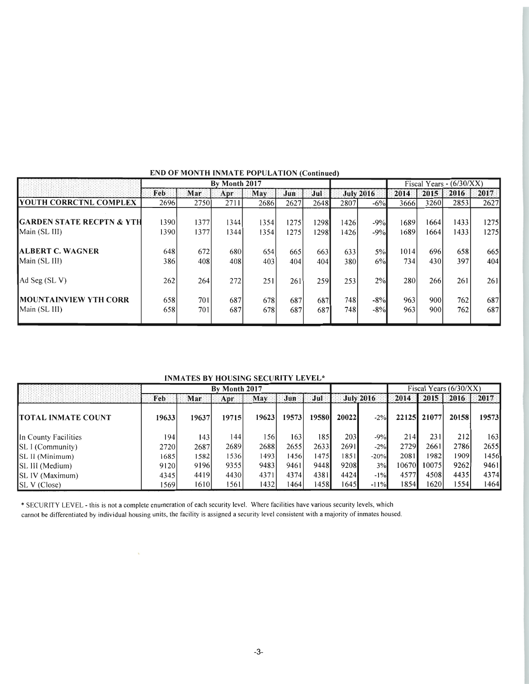|                                                | By Month 2017 |            |            |            |            |            |            | Fiscal Years - $(6/30/XX)$ |            |            |            |            |
|------------------------------------------------|---------------|------------|------------|------------|------------|------------|------------|----------------------------|------------|------------|------------|------------|
|                                                | Feb           | Mar        | Apr        | May        | Jun        | Jul        |            | <b>July 2016</b>           | 2014       | 2015       | 2016       | 2017       |
| <b>YOUTH CORRCTNL COMPLEX</b>                  | 2696          | 2750       | 2711       | 2686       | 2627       | 2648       | 2807       | $-6\%$                     | 3666       | 3260       | 2853       | 2627       |
| <b>IGARDEN STATE RECPTN &amp; YTH</b>          | 1390          | 1377       | 13441      | 1354       | 1275       | 1298       | 1426       | $-9%$                      | 1689       | 1664       | 1433       | 1275       |
| Main (SL III)                                  | 1390          | 1377       | 13441      | 1354       | 1275       | 1298       | 1426       | $-9%$                      | 1689       | 1664       | 1433       | 1275       |
| <b>JALBERT C. WAGNER</b>                       | 648           | 672        | 680l       | 654        | 665        | 663        | 633        | $5\%$                      | 1014       | 696        | 658        | 665        |
| Main (SL III)                                  | 386           | 408        | 408        | 403        | 404        | 4041       | 380        | 6%                         | 734        | 430        | 397        | 404        |
| Ad Seg $(SL V)$                                | 262           | 264        | 272        | 251        | 261        | 259l       | 253        | 2%                         | 280        | 266        | 261        | 261        |
| <b>IMOUNTAINVIEW YTH CORR</b><br>Main (SL III) | 658<br>658    | 701<br>701 | 687<br>687 | 678<br>678 | 687<br>687 | 687<br>687 | 748<br>748 | $-8%$<br>$-8%$             | 963<br>963 | 900<br>900 | 762<br>762 | 687<br>687 |
|                                                |               |            |            |            |            |            |            |                            |            |            |            |            |

## END OF MONTH INMATE POPULATION (Continued)

INMATES BY HOUSING SECURITY LEVEL\*

|                            | By Month 2017 |       |       |       |       |       |               |                  | Fiscal Years $(6/30/XX)$ |             |       |       |
|----------------------------|---------------|-------|-------|-------|-------|-------|---------------|------------------|--------------------------|-------------|-------|-------|
|                            | Feb           | Mar   | Apr   | May   | Jun   | Jul   |               | <b>July 2016</b> | 2014                     | $2015$      | 2016  | 2017  |
| <b>ITOTAL INMATE COUNT</b> | 19633         | 19637 | 19715 | 19623 | 19573 | 19580 | <b>200221</b> | $-2%$            |                          | 22125 21077 | 20158 | 19573 |
| In County Facilities       | 1941          | 143   | 1441  | 156   | 163   | 185   | 203           | $-9%$            | 214                      | 231         | 212   | 163   |
| $ SLI$ (Community)         | 2720          | 2687  | 26891 | 2688  | 2655  | 2633  | 2691          | $-2\%$           | 2729                     | 2661        | 2786  | 2655  |
| SL II (Minimum)            | 1685          | 1582  | 5361  | 1493  | 1456  | 1475  | 1851          | $-20%$           | 2081                     | 1982        | 1909  | 1456  |
| SL III (Medium)            | 9120          | 9196  | 9355  | 9483  | 9461  | 9448  | 9208          | 3%               | 10670                    | 10075       | 9262  | 94611 |
| <b>ISL IV (Maximum)</b>    | 4345          | 4419  | 4430  | 4371  | 4374  | 4381  | 4424          | $-1\%$           | 4577                     | 4508        | 4435  | 4374  |
| SL V (Close)               | 1569          | 1610  | 561   | 1432  | 1464  | 1458  | 1645          | $-11%$           | 1854                     | 1620        | 1554  | 1464  |

\* SECURITY LEVEL - this is not a complete enumeration of each security level. Where facilities have various security levels, which cannot be differentiated by individual housing units, the facility is assigned a security level consistent with a majority of inmates housed.

 $\mathbf{v}$